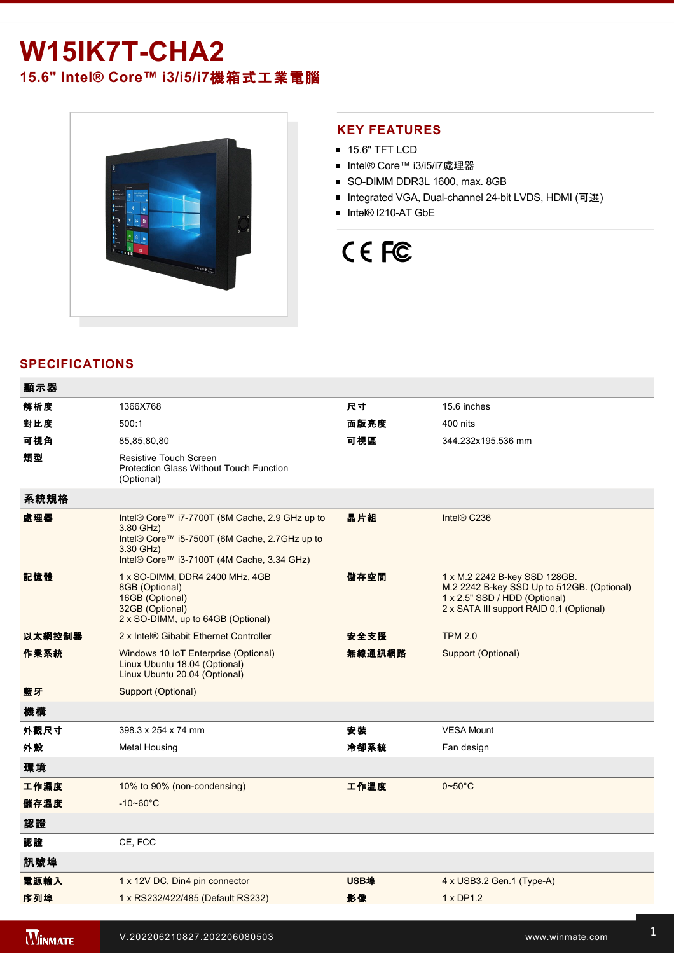# **W15IK7T-CHA2**

**15.6" Intel® Core™ i3/i5/i7**機箱式工業電腦



#### **KEY FEATURES**

- **15.6" TFT LCD**
- Intel® Core™ i3/i5/i7處理器
- SO-DIMM DDR3L 1600, max. 8GB
- Integrated VGA, Dual-channel 24-bit LVDS, HDMI (可選)
- Intel® I210-AT GbE

# CE FC

#### **SPECIFICATIONS**

| 顯示器            |                                                                                                                                                                         |             |                                                                                                                                                          |
|----------------|-------------------------------------------------------------------------------------------------------------------------------------------------------------------------|-------------|----------------------------------------------------------------------------------------------------------------------------------------------------------|
| 解析度            | 1366X768                                                                                                                                                                | 尺寸          | 15.6 inches                                                                                                                                              |
| 對比度            | 500:1                                                                                                                                                                   | 面版亮度        | 400 nits                                                                                                                                                 |
| 可視角            | 85,85,80,80                                                                                                                                                             | 可視區         | 344.232x195.536 mm                                                                                                                                       |
| 類型             | Resistive Touch Screen<br><b>Protection Glass Without Touch Function</b><br>(Optional)                                                                                  |             |                                                                                                                                                          |
| 系統規格           |                                                                                                                                                                         |             |                                                                                                                                                          |
| 處理器            | Intel® Core™ i7-7700T (8M Cache, 2.9 GHz up to<br>3.80 GHz)<br>Intel® Core™ i5-7500T (6M Cache, 2.7GHz up to<br>3.30 GHz)<br>Intel® Core™ i3-7100T (4M Cache, 3.34 GHz) | 晶片組         | Intel® C236                                                                                                                                              |
| 記憶體            | 1 x SO-DIMM, DDR4 2400 MHz, 4GB<br>8GB (Optional)<br>16GB (Optional)<br>32GB (Optional)<br>2 x SO-DIMM, up to 64GB (Optional)                                           | 儲存空間        | 1 x M.2 2242 B-key SSD 128GB.<br>M.2 2242 B-key SSD Up to 512GB. (Optional)<br>1 x 2.5" SSD / HDD (Optional)<br>2 x SATA III support RAID 0,1 (Optional) |
| 以太網控制器         | 2 x Intel® Gibabit Ethernet Controller                                                                                                                                  | 安全支援        | <b>TPM 2.0</b>                                                                                                                                           |
| 作業系統           | Windows 10 IoT Enterprise (Optional)<br>Linux Ubuntu 18.04 (Optional)<br>Linux Ubuntu 20.04 (Optional)                                                                  | 無線通訊網路      | Support (Optional)                                                                                                                                       |
| 藍牙             | Support (Optional)                                                                                                                                                      |             |                                                                                                                                                          |
| 機構             |                                                                                                                                                                         |             |                                                                                                                                                          |
| 外觀尺寸           | 398.3 x 254 x 74 mm                                                                                                                                                     | 安装          | <b>VESA Mount</b>                                                                                                                                        |
| 外殼             | Metal Housing                                                                                                                                                           | 冷卻系統        | Fan design                                                                                                                                               |
| 環境             |                                                                                                                                                                         |             |                                                                                                                                                          |
| 工作濕度           | 10% to 90% (non-condensing)                                                                                                                                             | 工作溫度        | $0\negthinspace\negthinspace\negthinspace 50^{\circ}\mathrm{C}$                                                                                          |
| 儲存溫度           | $-10 - 60^{\circ}$ C                                                                                                                                                    |             |                                                                                                                                                          |
| 認證             |                                                                                                                                                                         |             |                                                                                                                                                          |
| 認證             | CE, FCC                                                                                                                                                                 |             |                                                                                                                                                          |
| 訊號埠            |                                                                                                                                                                         |             |                                                                                                                                                          |
| 電源輸入           | 1 x 12V DC, Din4 pin connector                                                                                                                                          | <b>USB埠</b> | 4 x USB3.2 Gen.1 (Type-A)                                                                                                                                |
| 序列埠            | 1 x RS232/422/485 (Default RS232)                                                                                                                                       | 影像          | 1 x DP1.2                                                                                                                                                |
|                |                                                                                                                                                                         |             |                                                                                                                                                          |
| <b>WINMATE</b> | V.202206210827.202206080503                                                                                                                                             |             | www.winmate.com                                                                                                                                          |